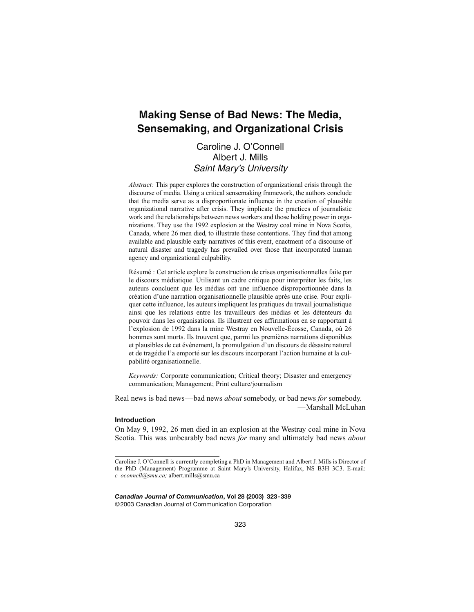# **Making Sense of Bad News: The Media, Sensemaking, and Organizational Crisis**

# Caroline J. O'Connell Albert J. Mills Saint Mary's University

*Abstract:* This paper explores the construction of organizational crisis through the discourse of media. Using a critical sensemaking framework, the authors conclude that the media serve as a disproportionate influence in the creation of plausible organizational narrative after crisis. They implicate the practices of journalistic work and the relationships between news workers and those holding power in organizations. They use the 1992 explosion at the Westray coal mine in Nova Scotia, Canada, where 26 men died, to illustrate these contentions. They find that among available and plausible early narratives of this event, enactment of a discourse of natural disaster and tragedy has prevailed over those that incorporated human agency and organizational culpability.

Résumé : Cet article explore la construction de crises organisationnelles faite par le discours médiatique. Utilisant un cadre critique pour interpréter les faits, les auteurs concluent que les médias ont une influence disproportionnée dans la création d'une narration organisationnelle plausible après une crise. Pour expliquer cette influence, les auteurs impliquent les pratiques du travail journalistique ainsi que les relations entre les travailleurs des médias et les détenteurs du pouvoir dans les organisations. Ils illustrent ces affirmations en se rapportant à l'explosion de 1992 dans la mine Westray en Nouvelle-Écosse, Canada, où 26 hommes sont morts. Ils trouvent que, parmi les premières narrations disponibles et plausibles de cet événement, la promulgation d'un discours de désastre naturel et de tragédie l'a emporté sur les discours incorporant l'action humaine et la culpabilité organisationnelle.

*Keywords:* Corporate communication; Critical theory; Disaster and emergency communication; Management; Print culture/journalism

Real news is bad news—bad news *about* somebody, or bad news *for* somebody. —Marshall McLuhan

# **Introduction**

On May 9, 1992, 26 men died in an explosion at the Westray coal mine in Nova Scotia. This was unbearably bad news *for* many and ultimately bad news *about*

*Canadian Journal of Communication***, Vol 28 (2003) 323-339** ©2003 Canadian Journal of Communication Corporation

Caroline J. O'Connell is currently completing a PhD in Management and Albert J. Mills is Director of the PhD (Management) Programme at Saint Mary's University, Halifax, NS B3H 3C3. E-mail: *c\_oconnell@smu.ca;* albert.mills@smu.ca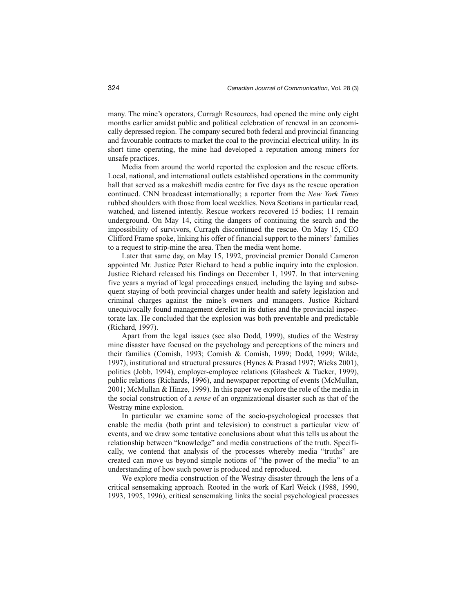many. The mine's operators, Curragh Resources, had opened the mine only eight months earlier amidst public and political celebration of renewal in an economically depressed region. The company secured both federal and provincial financing and favourable contracts to market the coal to the provincial electrical utility. In its short time operating, the mine had developed a reputation among miners for unsafe practices.

Media from around the world reported the explosion and the rescue efforts. Local, national, and international outlets established operations in the community hall that served as a makeshift media centre for five days as the rescue operation continued. CNN broadcast internationally; a reporter from the *New York Times* rubbed shoulders with those from local weeklies. Nova Scotians in particular read, watched, and listened intently. Rescue workers recovered 15 bodies; 11 remain underground. On May 14, citing the dangers of continuing the search and the impossibility of survivors, Curragh discontinued the rescue. On May 15, CEO Clifford Frame spoke, linking his offer of financial support to the miners' families to a request to strip-mine the area. Then the media went home.

Later that same day, on May 15, 1992, provincial premier Donald Cameron appointed Mr. Justice Peter Richard to head a public inquiry into the explosion. Justice Richard released his findings on December 1, 1997. In that intervening five years a myriad of legal proceedings ensued, including the laying and subsequent staying of both provincial charges under health and safety legislation and criminal charges against the mine's owners and managers. Justice Richard unequivocally found management derelict in its duties and the provincial inspectorate lax. He concluded that the explosion was both preventable and predictable (Richard, 1997).

Apart from the legal issues (see also Dodd, 1999), studies of the Westray mine disaster have focused on the psychology and perceptions of the miners and their families (Comish, 1993; Comish & Comish, 1999; Dodd, 1999; Wilde, 1997), institutional and structural pressures (Hynes & Prasad 1997; Wicks 2001), politics (Jobb, 1994), employer-employee relations (Glasbeek & Tucker, 1999), public relations (Richards, 1996), and newspaper reporting of events (McMullan, 2001; McMullan & Hinze, 1999). In this paper we explore the role of the media in the social construction of a *sense* of an organizational disaster such as that of the Westray mine explosion.

In particular we examine some of the socio-psychological processes that enable the media (both print and television) to construct a particular view of events, and we draw some tentative conclusions about what this tells us about the relationship between "knowledge" and media constructions of the truth. Specifically, we contend that analysis of the processes whereby media "truths" are created can move us beyond simple notions of "the power of the media" to an understanding of how such power is produced and reproduced.

We explore media construction of the Westray disaster through the lens of a critical sensemaking approach. Rooted in the work of Karl Weick (1988, 1990, 1993, 1995, 1996), critical sensemaking links the social psychological processes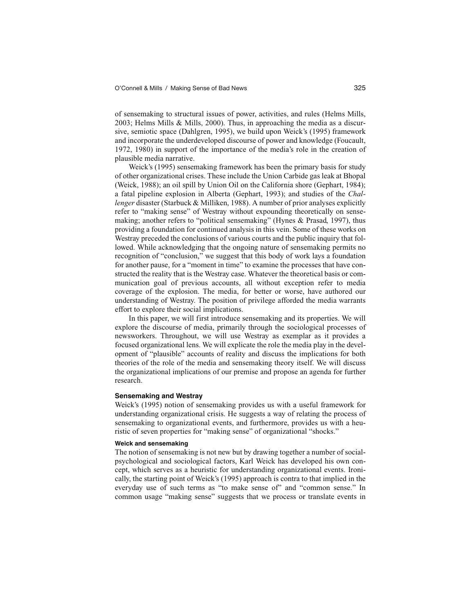of sensemaking to structural issues of power, activities, and rules (Helms Mills, 2003; Helms Mills & Mills, 2000). Thus, in approaching the media as a discursive, semiotic space (Dahlgren, 1995), we build upon Weick's (1995) framework and incorporate the underdeveloped discourse of power and knowledge (Foucault, 1972, 1980) in support of the importance of the media's role in the creation of plausible media narrative.

Weick's (1995) sensemaking framework has been the primary basis for study of other organizational crises. These include the Union Carbide gas leak at Bhopal (Weick, 1988); an oil spill by Union Oil on the California shore (Gephart, 1984); a fatal pipeline explosion in Alberta (Gephart, 1993); and studies of the *Challenger* disaster (Starbuck & Milliken, 1988). A number of prior analyses explicitly refer to "making sense" of Westray without expounding theoretically on sensemaking; another refers to "political sensemaking" (Hynes & Prasad, 1997), thus providing a foundation for continued analysis in this vein. Some of these works on Westray preceded the conclusions of various courts and the public inquiry that followed. While acknowledging that the ongoing nature of sensemaking permits no recognition of "conclusion," we suggest that this body of work lays a foundation for another pause, for a "moment in time" to examine the processes that have constructed the reality that is the Westray case. Whatever the theoretical basis or communication goal of previous accounts, all without exception refer to media coverage of the explosion. The media, for better or worse, have authored our understanding of Westray. The position of privilege afforded the media warrants effort to explore their social implications.

In this paper, we will first introduce sensemaking and its properties. We will explore the discourse of media, primarily through the sociological processes of newsworkers. Throughout, we will use Westray as exemplar as it provides a focused organizational lens. We will explicate the role the media play in the development of "plausible" accounts of reality and discuss the implications for both theories of the role of the media and sensemaking theory itself. We will discuss the organizational implications of our premise and propose an agenda for further research.

# **Sensemaking and Westray**

Weick's (1995) notion of sensemaking provides us with a useful framework for understanding organizational crisis. He suggests a way of relating the process of sensemaking to organizational events, and furthermore, provides us with a heuristic of seven properties for "making sense" of organizational "shocks."

#### **Weick and sensemaking**

The notion of sensemaking is not new but by drawing together a number of socialpsychological and sociological factors, Karl Weick has developed his own concept, which serves as a heuristic for understanding organizational events. Ironically, the starting point of Weick's (1995) approach is contra to that implied in the everyday use of such terms as "to make sense of" and "common sense." In common usage "making sense" suggests that we process or translate events in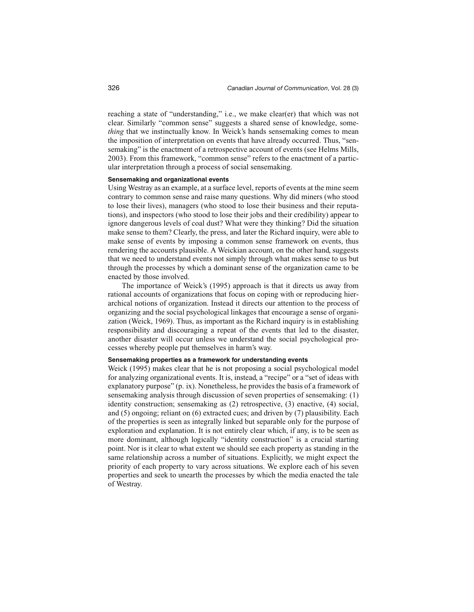reaching a state of "understanding," i.e., we make clear(er) that which was not clear. Similarly "common sense" suggests a shared sense of knowledge, some*thing* that we instinctually know. In Weick's hands sensemaking comes to mean the imposition of interpretation on events that have already occurred. Thus, "sensemaking" is the enactment of a retrospective account of events (see Helms Mills, 2003). From this framework, "common sense" refers to the enactment of a particular interpretation through a process of social sensemaking.

#### **Sensemaking and organizational events**

Using Westray as an example, at a surface level, reports of events at the mine seem contrary to common sense and raise many questions. Why did miners (who stood to lose their lives), managers (who stood to lose their business and their reputations), and inspectors (who stood to lose their jobs and their credibility) appear to ignore dangerous levels of coal dust? What were they thinking? Did the situation make sense to them? Clearly, the press, and later the Richard inquiry, were able to make sense of events by imposing a common sense framework on events, thus rendering the accounts plausible. A Weickian account, on the other hand, suggests that we need to understand events not simply through what makes sense to us but through the processes by which a dominant sense of the organization came to be enacted by those involved.

The importance of Weick's (1995) approach is that it directs us away from rational accounts of organizations that focus on coping with or reproducing hierarchical notions of organization. Instead it directs our attention to the process of organizing and the social psychological linkages that encourage a sense of organization (Weick, 1969). Thus, as important as the Richard inquiry is in establishing responsibility and discouraging a repeat of the events that led to the disaster, another disaster will occur unless we understand the social psychological processes whereby people put themselves in harm's way.

# **Sensemaking properties as a framework for understanding events**

Weick (1995) makes clear that he is not proposing a social psychological model for analyzing organizational events. It is, instead, a "recipe" or a "set of ideas with explanatory purpose" (p. ix). Nonetheless, he provides the basis of a framework of sensemaking analysis through discussion of seven properties of sensemaking: (1) identity construction; sensemaking as (2) retrospective, (3) enactive, (4) social, and (5) ongoing; reliant on (6) extracted cues; and driven by (7) plausibility. Each of the properties is seen as integrally linked but separable only for the purpose of exploration and explanation. It is not entirely clear which, if any, is to be seen as more dominant, although logically "identity construction" is a crucial starting point. Nor is it clear to what extent we should see each property as standing in the same relationship across a number of situations. Explicitly, we might expect the priority of each property to vary across situations. We explore each of his seven properties and seek to unearth the processes by which the media enacted the tale of Westray.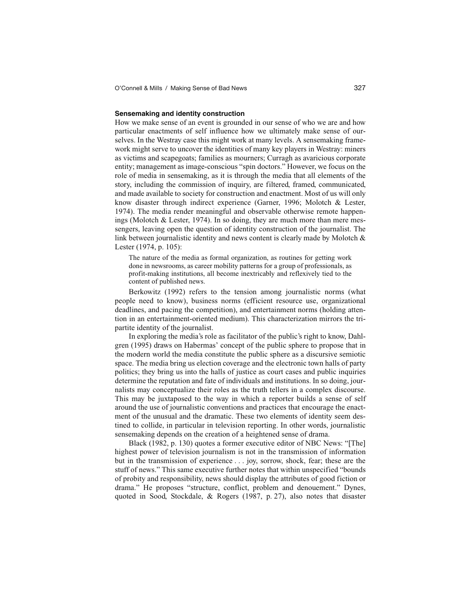#### **Sensemaking and identity construction**

How we make sense of an event is grounded in our sense of who we are and how particular enactments of self influence how we ultimately make sense of ourselves. In the Westray case this might work at many levels. A sensemaking framework might serve to uncover the identities of many key players in Westray: miners as victims and scapegoats; families as mourners; Curragh as avaricious corporate entity; management as image-conscious "spin doctors." However, we focus on the role of media in sensemaking, as it is through the media that all elements of the story, including the commission of inquiry, are filtered, framed, communicated, and made available to society for construction and enactment. Most of us will only know disaster through indirect experience (Garner, 1996; Molotch & Lester, 1974). The media render meaningful and observable otherwise remote happenings (Molotch & Lester, 1974). In so doing, they are much more than mere messengers, leaving open the question of identity construction of the journalist. The link between journalistic identity and news content is clearly made by Molotch & Lester (1974, p. 105):

The nature of the media as formal organization, as routines for getting work done in newsrooms, as career mobility patterns for a group of professionals, as profit-making institutions, all become inextricably and reflexively tied to the content of published news.

Berkowitz (1992) refers to the tension among journalistic norms (what people need to know), business norms (efficient resource use, organizational deadlines, and pacing the competition), and entertainment norms (holding attention in an entertainment-oriented medium). This characterization mirrors the tripartite identity of the journalist.

In exploring the media's role as facilitator of the public's right to know, Dahlgren (1995) draws on Habermas' concept of the public sphere to propose that in the modern world the media constitute the public sphere as a discursive semiotic space. The media bring us election coverage and the electronic town halls of party politics; they bring us into the halls of justice as court cases and public inquiries determine the reputation and fate of individuals and institutions. In so doing, journalists may conceptualize their roles as the truth tellers in a complex discourse. This may be juxtaposed to the way in which a reporter builds a sense of self around the use of journalistic conventions and practices that encourage the enactment of the unusual and the dramatic. These two elements of identity seem destined to collide, in particular in television reporting. In other words, journalistic sensemaking depends on the creation of a heightened sense of drama.

Black (1982, p. 130) quotes a former executive editor of NBC News: "[The] highest power of television journalism is not in the transmission of information but in the transmission of experience . . . joy, sorrow, shock, fear; these are the stuff of news." This same executive further notes that within unspecified "bounds of probity and responsibility, news should display the attributes of good fiction or drama." He proposes "structure, conflict, problem and denouement." Dynes, quoted in Sood, Stockdale, & Rogers (1987, p. 27), also notes that disaster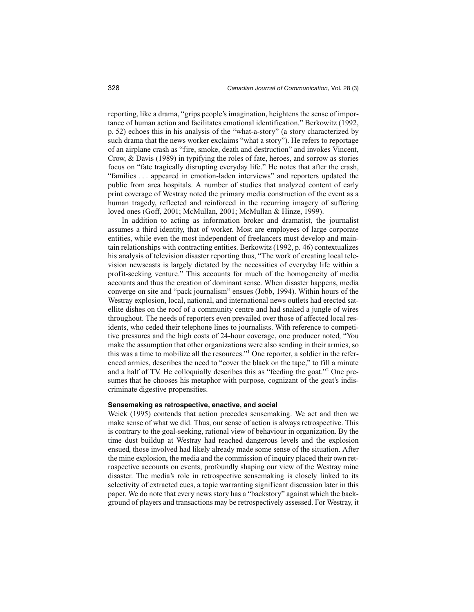reporting, like a drama, "grips people's imagination, heightens the sense of importance of human action and facilitates emotional identification." Berkowitz (1992, p. 52) echoes this in his analysis of the "what-a-story" (a story characterized by such drama that the news worker exclaims "what a story"). He refers to reportage of an airplane crash as "fire, smoke, death and destruction" and invokes Vincent, Crow, & Davis (1989) in typifying the roles of fate, heroes, and sorrow as stories focus on "fate tragically disrupting everyday life." He notes that after the crash, "families . . . appeared in emotion-laden interviews" and reporters updated the public from area hospitals. A number of studies that analyzed content of early print coverage of Westray noted the primary media construction of the event as a human tragedy, reflected and reinforced in the recurring imagery of suffering loved ones (Goff, 2001; McMullan, 2001; McMullan & Hinze, 1999).

In addition to acting as information broker and dramatist, the journalist assumes a third identity, that of worker. Most are employees of large corporate entities, while even the most independent of freelancers must develop and maintain relationships with contracting entities. Berkowitz (1992, p. 46) contextualizes his analysis of television disaster reporting thus, "The work of creating local television newscasts is largely dictated by the necessities of everyday life within a profit-seeking venture." This accounts for much of the homogeneity of media accounts and thus the creation of dominant sense. When disaster happens, media converge on site and "pack journalism" ensues (Jobb, 1994). Within hours of the Westray explosion, local, national, and international news outlets had erected satellite dishes on the roof of a community centre and had snaked a jungle of wires throughout. The needs of reporters even prevailed over those of affected local residents, who ceded their telephone lines to journalists. With reference to competitive pressures and the high costs of 24-hour coverage, one producer noted, "You make the assumption that other organizations were also sending in their armies, so this was a time to mobilize all the resources."<sup>1</sup> One reporter, a soldier in the referenced armies, describes the need to "cover the black on the tape," to fill a minute and a half of TV. He colloquially describes this as "feeding the goat."2 One presumes that he chooses his metaphor with purpose, cognizant of the goat's indiscriminate digestive propensities.

### **Sensemaking as retrospective, enactive, and social**

Weick (1995) contends that action precedes sensemaking. We act and then we make sense of what we did. Thus, our sense of action is always retrospective. This is contrary to the goal-seeking, rational view of behaviour in organization. By the time dust buildup at Westray had reached dangerous levels and the explosion ensued, those involved had likely already made some sense of the situation. After the mine explosion, the media and the commission of inquiry placed their own retrospective accounts on events, profoundly shaping our view of the Westray mine disaster. The media's role in retrospective sensemaking is closely linked to its selectivity of extracted cues, a topic warranting significant discussion later in this paper. We do note that every news story has a "backstory" against which the background of players and transactions may be retrospectively assessed. For Westray, it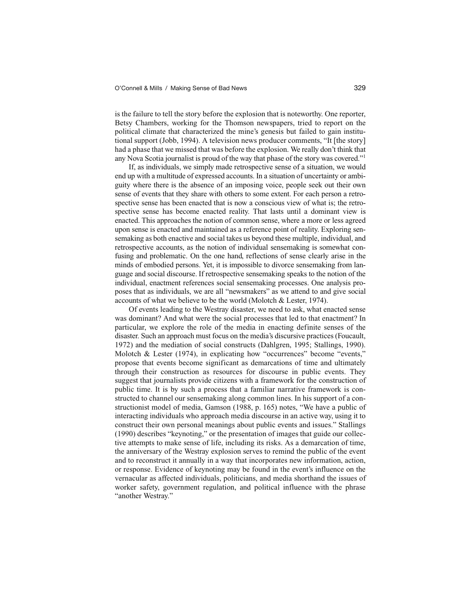is the failure to tell the story before the explosion that is noteworthy. One reporter, Betsy Chambers, working for the Thomson newspapers, tried to report on the political climate that characterized the mine's genesis but failed to gain institutional support (Jobb, 1994). A television news producer comments, "It [the story] had a phase that we missed that was before the explosion. We really don't think that any Nova Scotia journalist is proud of the way that phase of the story was covered."1

If, as individuals, we simply made retrospective sense of a situation, we would end up with a multitude of expressed accounts. In a situation of uncertainty or ambiguity where there is the absence of an imposing voice, people seek out their own sense of events that they share with others to some extent. For each person a retrospective sense has been enacted that is now a conscious view of what is; the retrospective sense has become enacted reality. That lasts until a dominant view is enacted. This approaches the notion of common sense, where a more or less agreed upon sense is enacted and maintained as a reference point of reality. Exploring sensemaking as both enactive and social takes us beyond these multiple, individual, and retrospective accounts, as the notion of individual sensemaking is somewhat confusing and problematic. On the one hand, reflections of sense clearly arise in the minds of embodied persons. Yet, it is impossible to divorce sensemaking from language and social discourse. If retrospective sensemaking speaks to the notion of the individual, enactment references social sensemaking processes. One analysis proposes that as individuals, we are all "newsmakers" as we attend to and give social accounts of what we believe to be the world (Molotch & Lester, 1974).

Of events leading to the Westray disaster, we need to ask, what enacted sense was dominant? And what were the social processes that led to that enactment? In particular, we explore the role of the media in enacting definite senses of the disaster. Such an approach must focus on the media's discursive practices (Foucault, 1972) and the mediation of social constructs (Dahlgren, 1995; Stallings, 1990). Molotch & Lester (1974), in explicating how "occurrences" become "events," propose that events become significant as demarcations of time and ultimately through their construction as resources for discourse in public events. They suggest that journalists provide citizens with a framework for the construction of public time. It is by such a process that a familiar narrative framework is constructed to channel our sensemaking along common lines. In his support of a constructionist model of media, Gamson (1988, p. 165) notes, "We have a public of interacting individuals who approach media discourse in an active way, using it to construct their own personal meanings about public events and issues." Stallings (1990) describes "keynoting," or the presentation of images that guide our collective attempts to make sense of life, including its risks. As a demarcation of time, the anniversary of the Westray explosion serves to remind the public of the event and to reconstruct it annually in a way that incorporates new information, action, or response. Evidence of keynoting may be found in the event's influence on the vernacular as affected individuals, politicians, and media shorthand the issues of worker safety, government regulation, and political influence with the phrase "another Westray."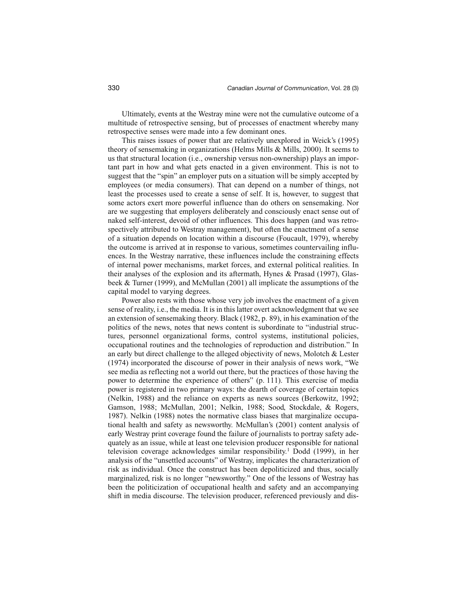Ultimately, events at the Westray mine were not the cumulative outcome of a multitude of retrospective sensing, but of processes of enactment whereby many retrospective senses were made into a few dominant ones.

This raises issues of power that are relatively unexplored in Weick's (1995) theory of sensemaking in organizations (Helms Mills & Mills, 2000). It seems to us that structural location (i.e., ownership versus non-ownership) plays an important part in how and what gets enacted in a given environment. This is not to suggest that the "spin" an employer puts on a situation will be simply accepted by employees (or media consumers). That can depend on a number of things, not least the processes used to create a sense of self. It is, however, to suggest that some actors exert more powerful influence than do others on sensemaking. Nor are we suggesting that employers deliberately and consciously enact sense out of naked self-interest, devoid of other influences. This does happen (and was retrospectively attributed to Westray management), but often the enactment of a sense of a situation depends on location within a discourse (Foucault, 1979), whereby the outcome is arrived at in response to various, sometimes countervailing influences. In the Westray narrative, these influences include the constraining effects of internal power mechanisms, market forces, and external political realities. In their analyses of the explosion and its aftermath, Hynes & Prasad (1997), Glasbeek & Turner (1999), and McMullan (2001) all implicate the assumptions of the capital model to varying degrees.

Power also rests with those whose very job involves the enactment of a given sense of reality, i.e., the media. It is in this latter overt acknowledgment that we see an extension of sensemaking theory. Black (1982, p. 89), in his examination of the politics of the news, notes that news content is subordinate to "industrial structures, personnel organizational forms, control systems, institutional policies, occupational routines and the technologies of reproduction and distribution." In an early but direct challenge to the alleged objectivity of news, Molotch & Lester (1974) incorporated the discourse of power in their analysis of news work, "We see media as reflecting not a world out there, but the practices of those having the power to determine the experience of others" (p. 111). This exercise of media power is registered in two primary ways: the dearth of coverage of certain topics (Nelkin, 1988) and the reliance on experts as news sources (Berkowitz, 1992; Gamson, 1988; McMullan, 2001; Nelkin, 1988; Sood, Stockdale, & Rogers, 1987). Nelkin (1988) notes the normative class biases that marginalize occupational health and safety as newsworthy. McMullan's (2001) content analysis of early Westray print coverage found the failure of journalists to portray safety adequately as an issue, while at least one television producer responsible for national television coverage acknowledges similar responsibility.<sup>1</sup> Dodd (1999), in her analysis of the "unsettled accounts" of Westray, implicates the characterization of risk as individual. Once the construct has been depoliticized and thus, socially marginalized, risk is no longer "newsworthy." One of the lessons of Westray has been the politicization of occupational health and safety and an accompanying shift in media discourse. The television producer, referenced previously and dis-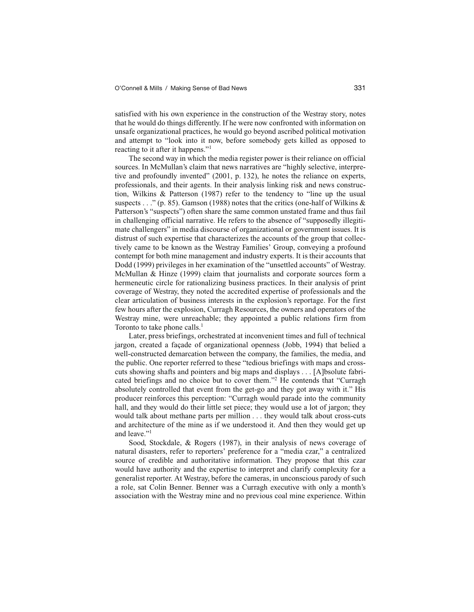satisfied with his own experience in the construction of the Westray story, notes that he would do things differently. If he were now confronted with information on unsafe organizational practices, he would go beyond ascribed political motivation and attempt to "look into it now, before somebody gets killed as opposed to reacting to it after it happens."1

The second way in which the media register power is their reliance on official sources. In McMullan's claim that news narratives are "highly selective, interpretive and profoundly invented" (2001, p. 132), he notes the reliance on experts, professionals, and their agents. In their analysis linking risk and news construction, Wilkins & Patterson (1987) refer to the tendency to "line up the usual suspects . . ." (p. 85). Gamson (1988) notes that the critics (one-half of Wilkins & Patterson's "suspects") often share the same common unstated frame and thus fail in challenging official narrative. He refers to the absence of "supposedly illegitimate challengers" in media discourse of organizational or government issues. It is distrust of such expertise that characterizes the accounts of the group that collectively came to be known as the Westray Families' Group, conveying a profound contempt for both mine management and industry experts. It is their accounts that Dodd (1999) privileges in her examination of the "unsettled accounts" of Westray. McMullan & Hinze (1999) claim that journalists and corporate sources form a hermeneutic circle for rationalizing business practices. In their analysis of print coverage of Westray, they noted the accredited expertise of professionals and the clear articulation of business interests in the explosion's reportage. For the first few hours after the explosion, Curragh Resources, the owners and operators of the Westray mine, were unreachable; they appointed a public relations firm from Toronto to take phone calls.<sup>1</sup>

Later, press briefings, orchestrated at inconvenient times and full of technical jargon, created a façade of organizational openness (Jobb, 1994) that belied a well-constructed demarcation between the company, the families, the media, and the public. One reporter referred to these "tedious briefings with maps and crosscuts showing shafts and pointers and big maps and displays . . . [A]bsolute fabricated briefings and no choice but to cover them."2 He contends that "Curragh absolutely controlled that event from the get-go and they got away with it." His producer reinforces this perception: "Curragh would parade into the community hall, and they would do their little set piece; they would use a lot of jargon; they would talk about methane parts per million . . . they would talk about cross-cuts and architecture of the mine as if we understood it. And then they would get up and leave."<sup>1</sup>

Sood, Stockdale, & Rogers (1987), in their analysis of news coverage of natural disasters, refer to reporters' preference for a "media czar," a centralized source of credible and authoritative information. They propose that this czar would have authority and the expertise to interpret and clarify complexity for a generalist reporter. At Westray, before the cameras, in unconscious parody of such a role, sat Colin Benner. Benner was a Curragh executive with only a month's association with the Westray mine and no previous coal mine experience. Within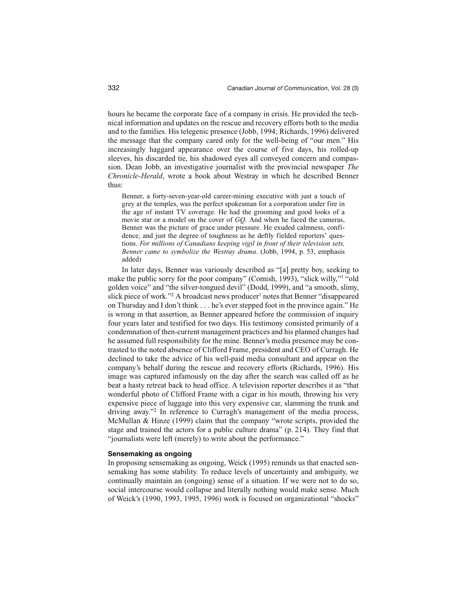hours he became the corporate face of a company in crisis. He provided the technical information and updates on the rescue and recovery efforts both to the media and to the families. His telegenic presence (Jobb, 1994; Richards, 1996) delivered the message that the company cared only for the well-being of "our men." His increasingly haggard appearance over the course of five days, his rolled-up sleeves, his discarded tie, his shadowed eyes all conveyed concern and compassion. Dean Jobb, an investigative journalist with the provincial newspaper *The Chronicle-Herald*, wrote a book about Westray in which he described Benner thus:

Benner, a forty-seven-year-old career-mining executive with just a touch of grey at the temples, was the perfect spokesman for a corporation under fire in the age of instant TV coverage. He had the grooming and good looks of a movie star or a model on the cover of *GQ*. And when he faced the cameras, Benner was the picture of grace under pressure. He exuded calmness, confidence, and just the degree of toughness as he deftly fielded reporters' questions. *For millions of Canadians keeping vigil in front of their television sets, Benner came to symbolize the Westray drama*. (Jobb, 1994, p. 53, emphasis added)

In later days, Benner was variously described as "[a] pretty boy, seeking to make the public sorry for the poor company" (Comish, 1993), "slick willy,"<sup>1</sup> "old golden voice" and "the silver-tongued devil" (Dodd, 1999), and "a smooth, slimy, slick piece of work."<sup>2</sup> A broadcast news producer<sup>1</sup> notes that Benner "disappeared on Thursday and I don't think . . . he's ever stepped foot in the province again." He is wrong in that assertion, as Benner appeared before the commission of inquiry four years later and testified for two days. His testimony consisted primarily of a condemnation of then-current management practices and his planned changes had he assumed full responsibility for the mine. Benner's media presence may be contrasted to the noted absence of Clifford Frame, president and CEO of Curragh. He declined to take the advice of his well-paid media consultant and appear on the company's behalf during the rescue and recovery efforts (Richards, 1996). His image was captured infamously on the day after the search was called off as he beat a hasty retreat back to head office. A television reporter describes it as "that wonderful photo of Clifford Frame with a cigar in his mouth, throwing his very expensive piece of luggage into this very expensive car, slamming the trunk and driving away."2 In reference to Curragh's management of the media process, McMullan & Hinze (1999) claim that the company "wrote scripts, provided the stage and trained the actors for a public culture drama" (p. 214). They find that "journalists were left (merely) to write about the performance."

#### **Sensemaking as ongoing**

In proposing sensemaking as ongoing, Weick (1995) reminds us that enacted sensemaking has some stability. To reduce levels of uncertainty and ambiguity, we continually maintain an (ongoing) sense of a situation. If we were not to do so, social intercourse would collapse and literally nothing would make sense. Much of Weick's (1990, 1993, 1995, 1996) work is focused on organizational "shocks"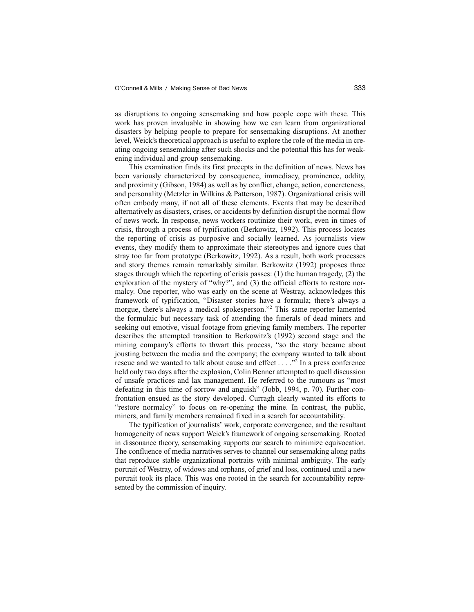as disruptions to ongoing sensemaking and how people cope with these. This work has proven invaluable in showing how we can learn from organizational disasters by helping people to prepare for sensemaking disruptions. At another level, Weick's theoretical approach is useful to explore the role of the media in creating ongoing sensemaking after such shocks and the potential this has for weakening individual and group sensemaking.

This examination finds its first precepts in the definition of news. News has been variously characterized by consequence, immediacy, prominence, oddity, and proximity (Gibson, 1984) as well as by conflict, change, action, concreteness, and personality (Metzler in Wilkins & Patterson, 1987). Organizational crisis will often embody many, if not all of these elements. Events that may be described alternatively as disasters, crises, or accidents by definition disrupt the normal flow of news work. In response, news workers routinize their work, even in times of crisis, through a process of typification (Berkowitz, 1992). This process locates the reporting of crisis as purposive and socially learned. As journalists view events, they modify them to approximate their stereotypes and ignore cues that stray too far from prototype (Berkowitz, 1992). As a result, both work processes and story themes remain remarkably similar. Berkowitz (1992) proposes three stages through which the reporting of crisis passes:  $(1)$  the human tragedy,  $(2)$  the exploration of the mystery of "why?", and (3) the official efforts to restore normalcy. One reporter, who was early on the scene at Westray, acknowledges this framework of typification, "Disaster stories have a formula; there's always a morgue, there's always a medical spokesperson."2 This same reporter lamented the formulaic but necessary task of attending the funerals of dead miners and seeking out emotive, visual footage from grieving family members. The reporter describes the attempted transition to Berkowitz's (1992) second stage and the mining company's efforts to thwart this process, "so the story became about jousting between the media and the company; the company wanted to talk about rescue and we wanted to talk about cause and effect . . . . "<sup>2</sup> In a press conference held only two days after the explosion, Colin Benner attempted to quell discussion of unsafe practices and lax management. He referred to the rumours as "most defeating in this time of sorrow and anguish" (Jobb, 1994, p. 70). Further confrontation ensued as the story developed. Curragh clearly wanted its efforts to "restore normalcy" to focus on re-opening the mine. In contrast, the public, miners, and family members remained fixed in a search for accountability.

The typification of journalists' work, corporate convergence, and the resultant homogeneity of news support Weick's framework of ongoing sensemaking. Rooted in dissonance theory, sensemaking supports our search to minimize equivocation. The confluence of media narratives serves to channel our sensemaking along paths that reproduce stable organizational portraits with minimal ambiguity. The early portrait of Westray, of widows and orphans, of grief and loss, continued until a new portrait took its place. This was one rooted in the search for accountability represented by the commission of inquiry.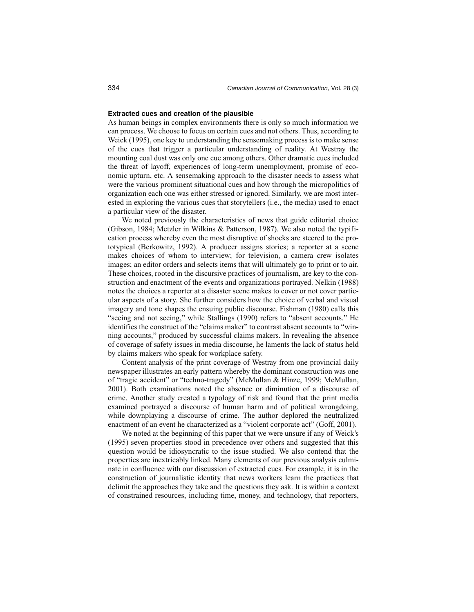# **Extracted cues and creation of the plausible**

As human beings in complex environments there is only so much information we can process. We choose to focus on certain cues and not others. Thus, according to Weick (1995), one key to understanding the sensemaking process is to make sense of the cues that trigger a particular understanding of reality. At Westray the mounting coal dust was only one cue among others. Other dramatic cues included the threat of layoff, experiences of long-term unemployment, promise of economic upturn, etc. A sensemaking approach to the disaster needs to assess what were the various prominent situational cues and how through the micropolitics of organization each one was either stressed or ignored. Similarly, we are most interested in exploring the various cues that storytellers (i.e., the media) used to enact a particular view of the disaster.

We noted previously the characteristics of news that guide editorial choice (Gibson, 1984; Metzler in Wilkins & Patterson, 1987). We also noted the typification process whereby even the most disruptive of shocks are steered to the prototypical (Berkowitz, 1992). A producer assigns stories; a reporter at a scene makes choices of whom to interview; for television, a camera crew isolates images; an editor orders and selects items that will ultimately go to print or to air. These choices, rooted in the discursive practices of journalism, are key to the construction and enactment of the events and organizations portrayed. Nelkin (1988) notes the choices a reporter at a disaster scene makes to cover or not cover particular aspects of a story. She further considers how the choice of verbal and visual imagery and tone shapes the ensuing public discourse. Fishman (1980) calls this "seeing and not seeing," while Stallings (1990) refers to "absent accounts." He identifies the construct of the "claims maker" to contrast absent accounts to "winning accounts," produced by successful claims makers. In revealing the absence of coverage of safety issues in media discourse, he laments the lack of status held by claims makers who speak for workplace safety.

Content analysis of the print coverage of Westray from one provincial daily newspaper illustrates an early pattern whereby the dominant construction was one of "tragic accident" or "techno-tragedy" (McMullan & Hinze, 1999; McMullan, 2001). Both examinations noted the absence or diminution of a discourse of crime. Another study created a typology of risk and found that the print media examined portrayed a discourse of human harm and of political wrongdoing, while downplaying a discourse of crime. The author deplored the neutralized enactment of an event he characterized as a "violent corporate act" (Goff, 2001).

We noted at the beginning of this paper that we were unsure if any of Weick's (1995) seven properties stood in precedence over others and suggested that this question would be idiosyncratic to the issue studied. We also contend that the properties are inextricably linked. Many elements of our previous analysis culminate in confluence with our discussion of extracted cues. For example, it is in the construction of journalistic identity that news workers learn the practices that delimit the approaches they take and the questions they ask. It is within a context of constrained resources, including time, money, and technology, that reporters,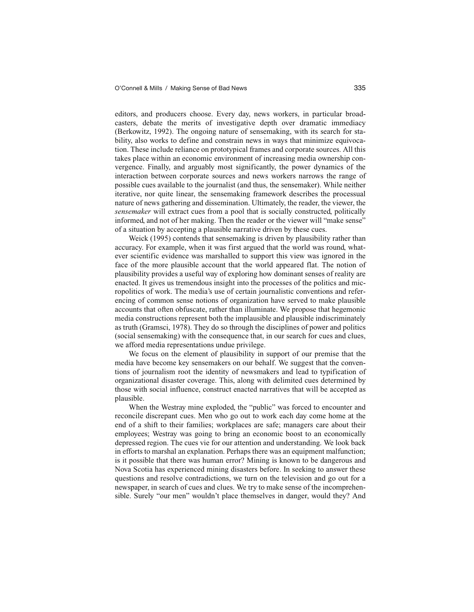editors, and producers choose. Every day, news workers, in particular broadcasters, debate the merits of investigative depth over dramatic immediacy (Berkowitz, 1992). The ongoing nature of sensemaking, with its search for stability, also works to define and constrain news in ways that minimize equivocation. These include reliance on prototypical frames and corporate sources. All this takes place within an economic environment of increasing media ownership convergence. Finally, and arguably most significantly, the power dynamics of the interaction between corporate sources and news workers narrows the range of possible cues available to the journalist (and thus, the sensemaker). While neither iterative, nor quite linear, the sensemaking framework describes the processual nature of news gathering and dissemination. Ultimately, the reader, the viewer, the *sensemaker* will extract cues from a pool that is socially constructed, politically informed, and not of her making. Then the reader or the viewer will "make sense" of a situation by accepting a plausible narrative driven by these cues.

Weick (1995) contends that sensemaking is driven by plausibility rather than accuracy. For example, when it was first argued that the world was round, whatever scientific evidence was marshalled to support this view was ignored in the face of the more plausible account that the world appeared flat. The notion of plausibility provides a useful way of exploring how dominant senses of reality are enacted. It gives us tremendous insight into the processes of the politics and micropolitics of work. The media's use of certain journalistic conventions and referencing of common sense notions of organization have served to make plausible accounts that often obfuscate, rather than illuminate. We propose that hegemonic media constructions represent both the implausible and plausible indiscriminately as truth (Gramsci, 1978). They do so through the disciplines of power and politics (social sensemaking) with the consequence that, in our search for cues and clues, we afford media representations undue privilege.

We focus on the element of plausibility in support of our premise that the media have become key sensemakers on our behalf. We suggest that the conventions of journalism root the identity of newsmakers and lead to typification of organizational disaster coverage. This, along with delimited cues determined by those with social influence, construct enacted narratives that will be accepted as plausible.

When the Westray mine exploded, the "public" was forced to encounter and reconcile discrepant cues. Men who go out to work each day come home at the end of a shift to their families; workplaces are safe; managers care about their employees; Westray was going to bring an economic boost to an economically depressed region. The cues vie for our attention and understanding. We look back in efforts to marshal an explanation. Perhaps there was an equipment malfunction; is it possible that there was human error? Mining is known to be dangerous and Nova Scotia has experienced mining disasters before. In seeking to answer these questions and resolve contradictions, we turn on the television and go out for a newspaper, in search of cues and clues. We try to make sense of the incomprehensible. Surely "our men" wouldn't place themselves in danger, would they? And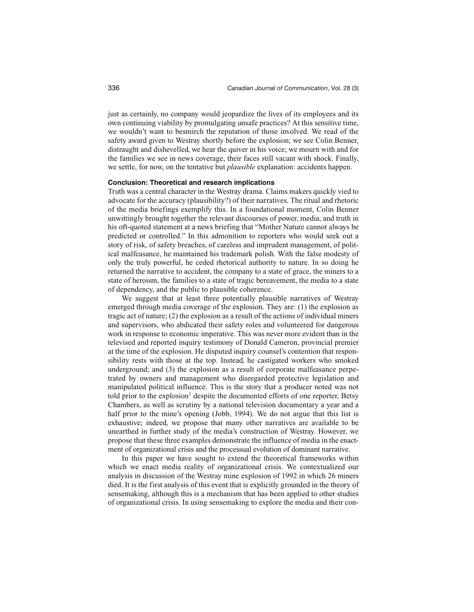just as certainly, no company would jeopardize the lives of its employees and its own continuing viability by promulgating unsafe practices? At this sensitive time, we wouldn't want to besmirch the reputation of those involved. We read of the safety award given to Westray shortly before the explosion; we see Colin Benner, distraught and dishevelled, we hear the quiver in his voice; we mourn with and for the families we see in news coverage, their faces still vacant with shock. Finally, we settle, for now, on the tentative but *plausible* explanation: accidents happen.

#### **Conclusion: Theoretical and research implications**

Truth was a central character in the Westray drama. Claims makers quickly vied to advocate for the accuracy (plausibility?) of their narratives. The ritual and rhetoric of the media briefings exemplify this. In a foundational moment, Colin Benner unwittingly brought together the relevant discourses of power, media, and truth in his oft-quoted statement at a news briefing that "Mother Nature cannot always be predicted or controlled." In this admonition to reporters who would seek out a story of risk, of safety breaches, of careless and imprudent management, of political malfeasance, he maintained his trademark polish. With the false modesty of only the truly powerful, he ceded rhetorical authority to nature. In so doing he returned the narrative to accident, the company to a state of grace, the miners to a state of heroism, the families to a state of tragic bereavement, the media to a state of dependency, and the public to plausible coherence.

We suggest that at least three potentially plausible narratives of Westray emerged through media coverage of the explosion. They are: (1) the explosion as tragic act of nature; (2) the explosion as a result of the actions of individual miners and supervisors, who abdicated their safety roles and volunteered for dangerous work in response to economic imperative. This was never more evident than in the televised and reported inquiry testimony of Donald Cameron, provincial premier at the time of the explosion. He disputed inquiry counsel's contention that responsibility rests with those at the top. Instead, he castigated workers who smoked underground; and (3) the explosion as a result of corporate malfeasance perpetrated by owners and management who disregarded protective legislation and manipulated political influence. This is the story that a producer noted was not told prior to the explosion<sup>1</sup> despite the documented efforts of one reporter, Betsy Chambers, as well as scrutiny by a national television documentary a year and a half prior to the mine's opening (Jobb, 1994). We do not argue that this list is exhaustive; indeed, we propose that many other narratives are available to be unearthed in further study of the media's construction of Westray. However, we propose that these three examples demonstrate the influence of media in the enactment of organizational crisis and the processual evolution of dominant narrative.

In this paper we have sought to extend the theoretical frameworks within which we enact media reality of organizational crisis. We contextualized our analysis in discussion of the Westray mine explosion of 1992 in which 26 miners died. It is the first analysis of this event that is explicitly grounded in the theory of sensemaking, although this is a mechanism that has been applied to other studies of organizational crisis. In using sensemaking to explore the media and their con-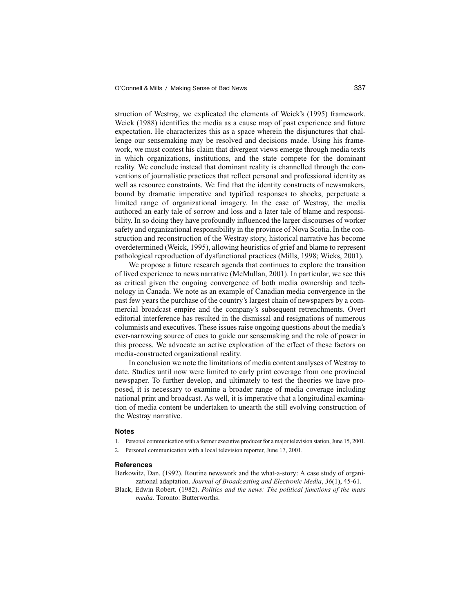struction of Westray, we explicated the elements of Weick's (1995) framework. Weick (1988) identifies the media as a cause map of past experience and future expectation. He characterizes this as a space wherein the disjunctures that challenge our sensemaking may be resolved and decisions made. Using his framework, we must contest his claim that divergent views emerge through media texts in which organizations, institutions, and the state compete for the dominant reality. We conclude instead that dominant reality is channelled through the conventions of journalistic practices that reflect personal and professional identity as well as resource constraints. We find that the identity constructs of newsmakers, bound by dramatic imperative and typified responses to shocks, perpetuate a limited range of organizational imagery. In the case of Westray, the media authored an early tale of sorrow and loss and a later tale of blame and responsibility. In so doing they have profoundly influenced the larger discourses of worker safety and organizational responsibility in the province of Nova Scotia. In the construction and reconstruction of the Westray story, historical narrative has become overdetermined (Weick, 1995), allowing heuristics of grief and blame to represent pathological reproduction of dysfunctional practices (Mills, 1998; Wicks, 2001).

We propose a future research agenda that continues to explore the transition of lived experience to news narrative (McMullan, 2001). In particular, we see this as critical given the ongoing convergence of both media ownership and technology in Canada. We note as an example of Canadian media convergence in the past few years the purchase of the country's largest chain of newspapers by a commercial broadcast empire and the company's subsequent retrenchments. Overt editorial interference has resulted in the dismissal and resignations of numerous columnists and executives. These issues raise ongoing questions about the media's ever-narrowing source of cues to guide our sensemaking and the role of power in this process. We advocate an active exploration of the effect of these factors on media-constructed organizational reality.

In conclusion we note the limitations of media content analyses of Westray to date. Studies until now were limited to early print coverage from one provincial newspaper. To further develop, and ultimately to test the theories we have proposed, it is necessary to examine a broader range of media coverage including national print and broadcast. As well, it is imperative that a longitudinal examination of media content be undertaken to unearth the still evolving construction of the Westray narrative.

#### **Notes**

- 1. Personal communication with a former executive producer for a major television station, June 15, 2001.
- 2. Personal communication with a local television reporter, June 17, 2001.

#### **References**

- Berkowitz, Dan. (1992). Routine newswork and the what-a-story: A case study of organizational adaptation. *Journal of Broadcasting and Electronic Media*, *36*(1), 45-61.
- Black, Edwin Robert. (1982). *Politics and the news: The political functions of the mass media*. Toronto: Butterworths.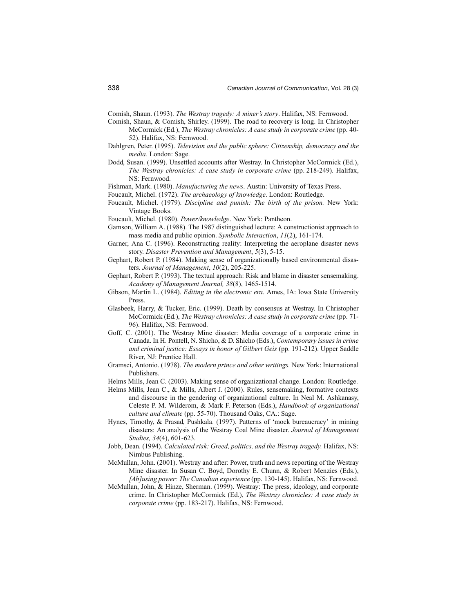Comish, Shaun. (1993). *The Westray tragedy: A miner's story*. Halifax, NS: Fernwood.

- Comish, Shaun, & Comish, Shirley. (1999). The road to recovery is long. In Christopher McCormick (Ed.), *The Westray chronicles: A case study in corporate crime* (pp. 40- 52). Halifax, NS: Fernwood.
- Dahlgren, Peter. (1995). *Television and the public sphere: Citizenship, democracy and the media*. London: Sage.
- Dodd, Susan. (1999). Unsettled accounts after Westray. In Christopher McCormick (Ed.), *The Westray chronicles: A case study in corporate crime* (pp. 218-249). Halifax, NS: Fernwood.
- Fishman, Mark. (1980). *Manufacturing the news*. Austin: University of Texas Press.
- Foucault, Michel. (1972). *The archaeology of knowledge*. London: Routledge.
- Foucault, Michel. (1979). *Discipline and punish: The birth of the prison.* New York: Vintage Books.
- Foucault, Michel. (1980). *Power/knowledge*. New York: Pantheon.
- Gamson, William A. (1988). The 1987 distinguished lecture: A constructionist approach to mass media and public opinion. *Symbolic Interaction*, *11*(2), 161-174.
- Garner, Ana C. (1996). Reconstructing reality: Interpreting the aeroplane disaster news story. *Disaster Prevention and Management*, *5*(3), 5-15.
- Gephart, Robert P. (1984). Making sense of organizationally based environmental disasters. *Journal of Management*, *10*(2), 205-225.
- Gephart, Robert P. (1993). The textual approach: Risk and blame in disaster sensemaking. *Academy of Management Journal, 38*(8), 1465-1514.
- Gibson, Martin L. (1984). *Editing in the electronic era*. Ames, IA: Iowa State University Press.
- Glasbeek, Harry, & Tucker, Eric. (1999). Death by consensus at Westray. In Christopher McCormick (Ed.), *The Westray chronicles: A case study in corporate crime* (pp. 71- 96). Halifax, NS: Fernwood.
- Goff, C. (2001). The Westray Mine disaster: Media coverage of a corporate crime in Canada. In H. Pontell, N. Shicho, & D. Shicho (Eds.), *Contemporary issues in crime and criminal justice: Essays in honor of Gilbert Geis* (pp. 191-212). Upper Saddle River, NJ: Prentice Hall.
- Gramsci, Antonio. (1978). *The modern prince and other writings.* New York: International Publishers.
- Helms Mills, Jean C. (2003). Making sense of organizational change. London: Routledge.
- Helms Mills, Jean C., & Mills, Albert J. (2000). Rules, sensemaking, formative contexts and discourse in the gendering of organizational culture. In Neal M. Ashkanasy, Celeste P. M. Wilderom, & Mark F. Peterson (Eds.), *Handbook of organizational culture and climate* (pp. 55-70). Thousand Oaks, CA.: Sage.
- Hynes, Timothy, & Prasad, Pushkala. (1997). Patterns of 'mock bureaucracy' in mining disasters: An analysis of the Westray Coal Mine disaster. *Journal of Management Studies, 34*(4), 601-623.
- Jobb, Dean. (1994). *Calculated risk: Greed, politics, and the Westray tragedy.* Halifax, NS: Nimbus Publishing.
- McMullan, John. (2001). Westray and after: Power, truth and news reporting of the Westray Mine disaster. In Susan C. Boyd, Dorothy E. Chunn, & Robert Menzies (Eds.), *[Ab]using power: The Canadian experience* (pp. 130-145). Halifax, NS: Fernwood.
- McMullan, John, & Hinze, Sherman. (1999). Westray: The press, ideology, and corporate crime. In Christopher McCormick (Ed.), *The Westray chronicles: A case study in corporate crime* (pp. 183-217). Halifax, NS: Fernwood.